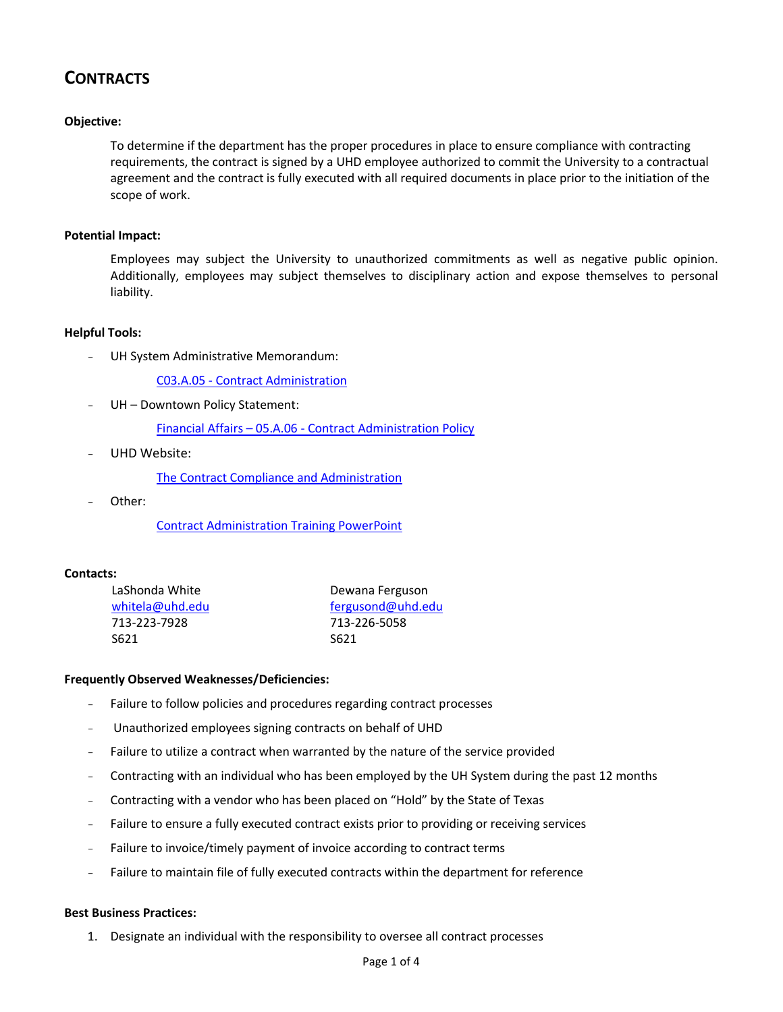# **CONTRACTS**

## **Objective:**

To determine if the department has the proper procedures in place to ensure compliance with contracting requirements, the contract is signed by a UHD employee authorized to commit the University to a contractual agreement and the contract is fully executed with all required documents in place prior to the initiation of the scope of work.

#### **Potential Impact:**

Employees may subject the University to unauthorized commitments as well as negative public opinion. Additionally, employees may subject themselves to disciplinary action and expose themselves to personal liability.

## **Helpful Tools:**

UH System Administrative Memorandum:

C03.A.05 - [Contract Administration](http://www.uhsa.uh.edu/sam/3FicsalAffairs/3A5.pdf)

UH - Downtown Policy Statement:

Financial Affairs – 05.A.06 - [Contract Administration Policy](http://www.uhd.edu/about/hr/PS05A06.pdf)

UHD Website:

[The Contract Compliance and Administration](http://www.uhd.edu/facultyandstaff/contracts/)

Other:

[Contract Administration Training PowerPoint](http://prezi.com/xa-ny3po6lxh/?utm_campaign=share&utm_medium=copy&rc=ex0share)

#### **Contacts:**

| LaShonda White  | Dewana Ferguson   |  |  |
|-----------------|-------------------|--|--|
| whitela@uhd.edu | fergusond@uhd.edu |  |  |
| 713-223-7928    | 713-226-5058      |  |  |
| S621            | S621              |  |  |

#### **Frequently Observed Weaknesses/Deficiencies:**

- Failure to follow policies and procedures regarding contract processes
- Unauthorized employees signing contracts on behalf of UHD
- Failure to utilize a contract when warranted by the nature of the service provided
- Contracting with an individual who has been employed by the UH System during the past 12 months
- Contracting with a vendor who has been placed on "Hold" by the State of Texas
- Failure to ensure a fully executed contract exists prior to providing or receiving services
- Failure to invoice/timely payment of invoice according to contract terms
- Failure to maintain file of fully executed contracts within the department for reference

#### **Best Business Practices:**

1. Designate an individual with the responsibility to oversee all contract processes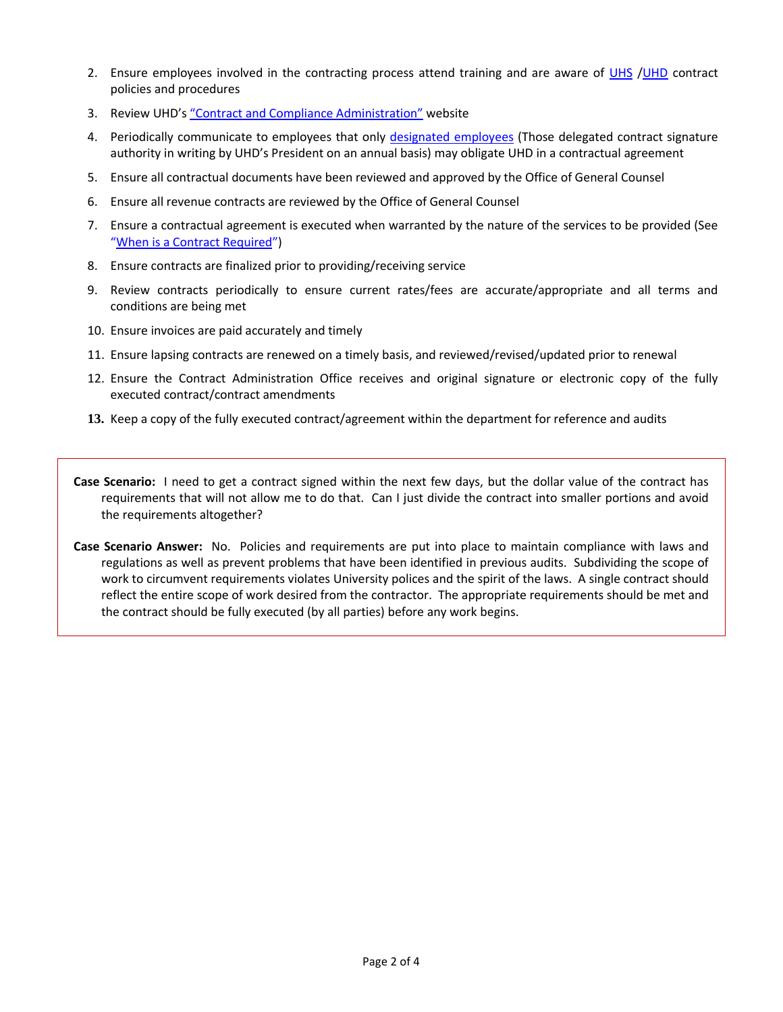- 2. Ensure employees involved in the contracting process attend training and are aware of [UHS](http://www.uhsa.uh.edu/sam/3FicsalAffairs/3A5.pdf) [/UHD](http://www.uhd.edu/about/hr/PS05A06.pdf) contract policies and procedures
- 3. Review UHD's ["Contract and Compliance Administration"](http://www.uhd.edu/facultyandstaff/contracts/) website
- 4. Periodically communicate to employees that only [designated employees](http://www.uhd.edu/facultyandstaff/contracts/WhoCanSignContracts.html) (Those delegated contract signature authority in writing by UHD's President on an annual basis) may obligate UHD in a contractual agreement
- 5. Ensure all contractual documents have been reviewed and approved by the Office of General Counsel
- 6. Ensure all revenue contracts are reviewed by the Office of General Counsel
- 7. Ensure a contractual agreement is executed when warranted by the nature of the services to be provided (See "[When is a Contract Required](http://www.uhd.edu/facultyandstaff/contracts/homequestions.html#remember)")
- 8. Ensure contracts are finalized prior to providing/receiving service
- 9. Review contracts periodically to ensure current rates/fees are accurate/appropriate and all terms and conditions are being met
- 10. Ensure invoices are paid accurately and timely
- 11. Ensure lapsing contracts are renewed on a timely basis, and reviewed/revised/updated prior to renewal
- 12. Ensure the Contract Administration Office receives and original signature or electronic copy of the fully executed contract/contract amendments
- **13.** Keep a copy of the fully executed contract/agreement within the department for reference and audits
- **Case Scenario:** I need to get a contract signed within the next few days, but the dollar value of the contract has requirements that will not allow me to do that. Can I just divide the contract into smaller portions and avoid the requirements altogether?
- **Case Scenario Answer:** No. Policies and requirements are put into place to maintain compliance with laws and regulations as well as prevent problems that have been identified in previous audits. Subdividing the scope of work to circumvent requirements violates University polices and the spirit of the laws. A single contract should reflect the entire scope of work desired from the contractor. The appropriate requirements should be met and the contract should be fully executed (by all parties) before any work begins.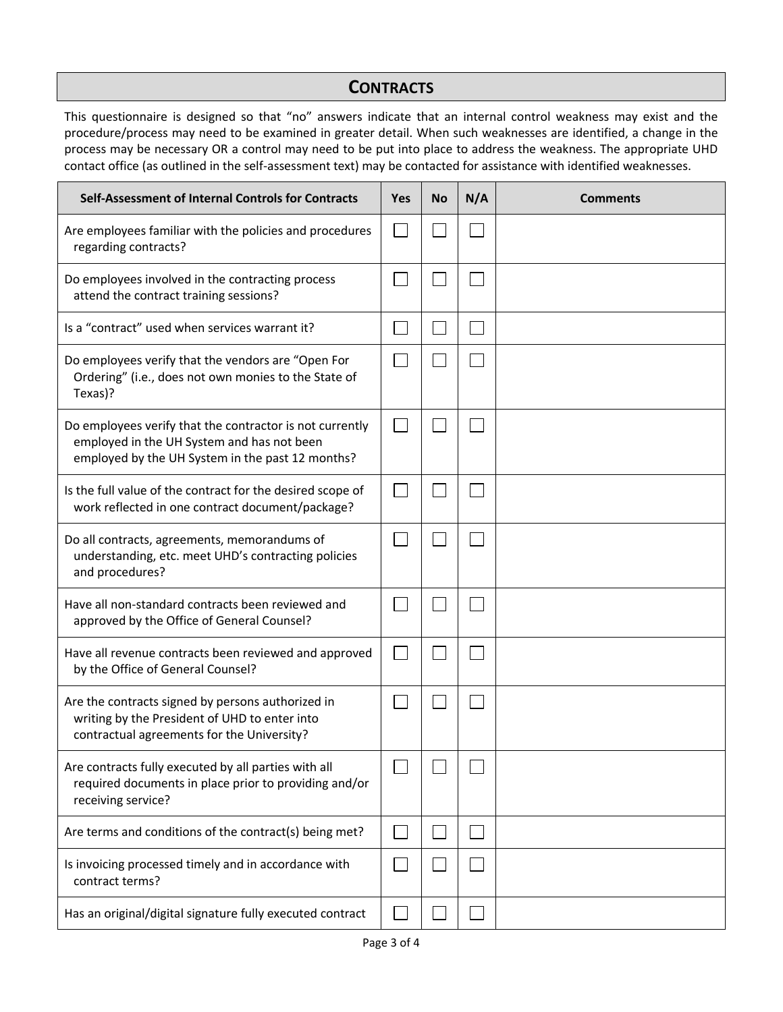# **CONTRACTS**

This questionnaire is designed so that "no" answers indicate that an internal control weakness may exist and the procedure/process may need to be examined in greater detail. When such weaknesses are identified, a change in the process may be necessary OR a control may need to be put into place to address the weakness. The appropriate UHD contact office (as outlined in the self-assessment text) may be contacted for assistance with identified weaknesses.

| Self-Assessment of Internal Controls for Contracts                                                                                                         | <b>Yes</b> | <b>No</b> | N/A | <b>Comments</b> |
|------------------------------------------------------------------------------------------------------------------------------------------------------------|------------|-----------|-----|-----------------|
| Are employees familiar with the policies and procedures<br>regarding contracts?                                                                            |            |           |     |                 |
| Do employees involved in the contracting process<br>attend the contract training sessions?                                                                 |            |           |     |                 |
| Is a "contract" used when services warrant it?                                                                                                             |            |           |     |                 |
| Do employees verify that the vendors are "Open For<br>Ordering" (i.e., does not own monies to the State of<br>Texas)?                                      |            |           |     |                 |
| Do employees verify that the contractor is not currently<br>employed in the UH System and has not been<br>employed by the UH System in the past 12 months? |            |           |     |                 |
| Is the full value of the contract for the desired scope of<br>work reflected in one contract document/package?                                             |            |           |     |                 |
| Do all contracts, agreements, memorandums of<br>understanding, etc. meet UHD's contracting policies<br>and procedures?                                     |            |           |     |                 |
| Have all non-standard contracts been reviewed and<br>approved by the Office of General Counsel?                                                            |            |           |     |                 |
| Have all revenue contracts been reviewed and approved<br>by the Office of General Counsel?                                                                 |            |           |     |                 |
| Are the contracts signed by persons authorized in<br>writing by the President of UHD to enter into<br>contractual agreements for the University?           |            |           |     |                 |
| Are contracts fully executed by all parties with all<br>required documents in place prior to providing and/or<br>receiving service?                        |            |           |     |                 |
| Are terms and conditions of the contract(s) being met?                                                                                                     |            |           |     |                 |
| Is invoicing processed timely and in accordance with<br>contract terms?                                                                                    |            |           |     |                 |
| Has an original/digital signature fully executed contract                                                                                                  |            |           |     |                 |